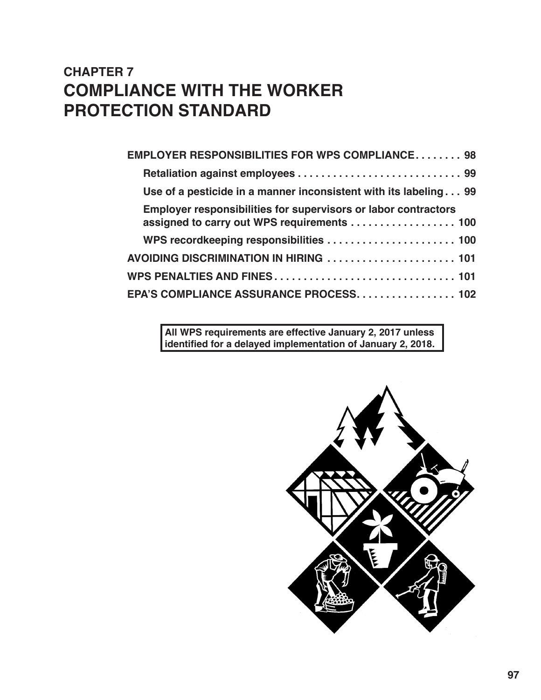# **CHAPTER 7 COMPLIANCE WITH THE WORKER PROTECTION STANDARD**

**All WPS requirements are effective January 2, 2017 unless identified for a delayed implementation of January 2, 2018.** 

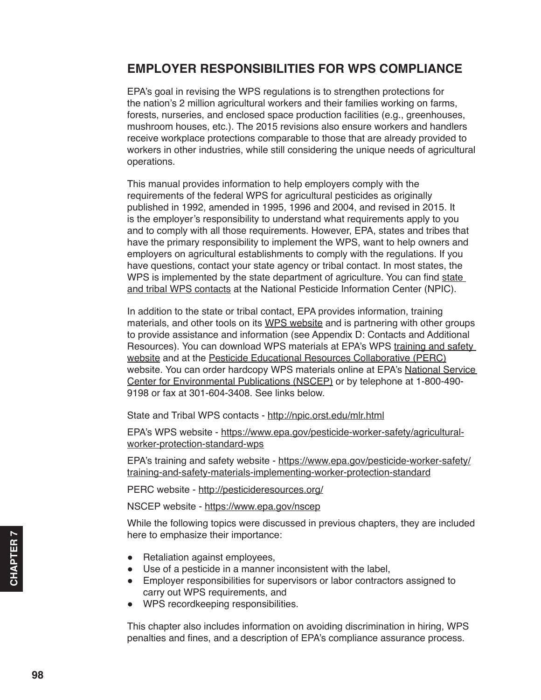## <span id="page-1-0"></span>**EMPLOYER RESPONSIBILITIES FOR WPS COMPLIANCE**

EPA's goal in revising the WPS regulations is to strengthen protections for the nation's 2 million agricultural workers and their families working on farms, forests, nurseries, and enclosed space production facilities (e.g., greenhouses, mushroom houses, etc.). The 2015 revisions also ensure workers and handlers receive workplace protections comparable to those that are already provided to workers in other industries, while still considering the unique needs of agricultural operations.

This manual provides information to help employers comply with the requirements of the federal WPS for agricultural pesticides as originally published in 1992, amended in 1995, 1996 and 2004, and revised in 2015. It is the employer's responsibility to understand what requirements apply to you and to comply with all those requirements. However, EPA, states and tribes that have the primary responsibility to implement the WPS, want to help owners and employers on agricultural establishments to comply with the regulations. If you have questions, contact your state agency or tribal contact. In most states, the WPS is implemented by the s[tate](http://npic.orst.edu/mlr.html) department of agriculture. You can find state [and tribal WPS contacts](http://npic.orst.edu/mlr.html) at the National Pesticide Information Center (NPIC).

In addition to the state or tribal contact, EPA provides information, training materials, and other tools on its [WPS website](https://www.epa.gov/pesticide-worker-safety/agricultural-worker-protection-standard-wps) and is partnering with other groups to provide assistance and information (see Appendix D: Contacts and Additional Resources). You can download WPS materials at EPA's WPS training and safety [website](https://www.epa.gov/pesticide-worker-safety/training-and-safety-materials-implementing-worker-protection-standard) and at the [Pesticide Educational Resources Collaborative \(PERC\)](http://pesticideresources.org/) website. You can order hardcopy WPS materials online at EPA's National Service [Center for Environmental Publications \(NSCEP\)](https://www.epa.gov/nscep) or by telephone at 1-800-490- 9198 or fax at 301-604-3408. See links below.

State and Tribal WPS contacts - [http://npic.orst.edu/mlr.html](http://npic.orst.edu/mlr.html )

EPA's WPS website - [https://www.epa.gov/pesticide-worker-safety/agricultural](https://www.epa.gov/pesticide-worker-safety/agricultural-worker-protection-standard-wps)[worker-protection-standard-wps](https://www.epa.gov/pesticide-worker-safety/agricultural-worker-protection-standard-wps)

EPA's training and safety website - [https://www.epa.gov/pesticide-worker-safety/](https://www.epa.gov/pesticide-worker-safety/training-and-safety-materials-implementing-worker-protec) [training-and-safety-materials-implementing-worker-protection-standard](https://www.epa.gov/pesticide-worker-safety/training-and-safety-materials-implementing-worker-protec)

PERC website - <http://pesticideresources.org/>

NSCEP website - <https://www.epa.gov/nscep>

While the following topics were discussed in previous chapters, they are included here to emphasize their importance:

- Retaliation against employees,
- Use of a pesticide in a manner inconsistent with the label,
- Employer responsibilities for supervisors or labor contractors assigned to carry out WPS requirements, and
- WPS recordkeeping responsibilities.

This chapter also includes information on avoiding discrimination in hiring, WPS penalties and fines, and a description of EPA's compliance assurance process.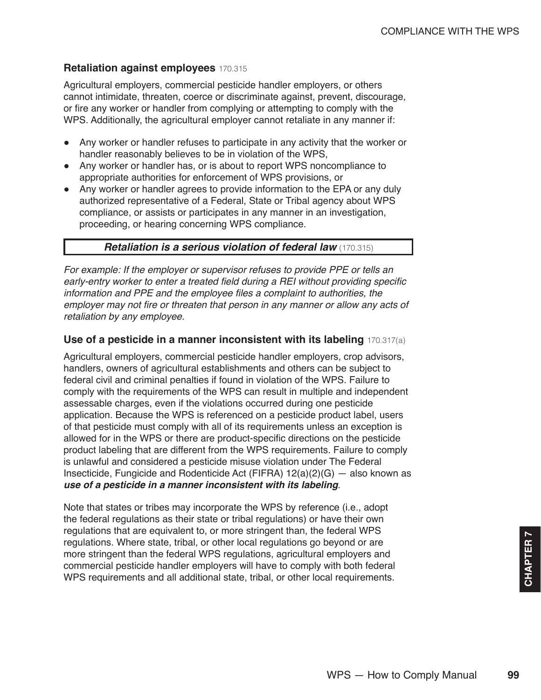### <span id="page-2-0"></span>**Retaliation against employees** 170.315

Agricultural employers, commercial pesticide handler employers, or others cannot intimidate, threaten, coerce or discriminate against, prevent, discourage, or fire any worker or handler from complying or attempting to comply with the WPS. Additionally, the agricultural employer cannot retaliate in any manner if:

- Any worker or handler refuses to participate in any activity that the worker or handler reasonably believes to be in violation of the WPS,
- Any worker or handler has, or is about to report WPS noncompliance to appropriate authorities for enforcement of WPS provisions, or
- Any worker or handler agrees to provide information to the EPA or any duly authorized representative of a Federal, State or Tribal agency about WPS compliance, or assists or participates in any manner in an investigation, proceeding, or hearing concerning WPS compliance.

### *Retaliation is a serious violation of federal law* (170.315)

*For example: If the employer or supervisor refuses to provide PPE or tells an*  early-entry worker to enter a treated field during a REI without providing specific information and PPE and the employee files a complaint to authorities, the employer may not fire or threaten that person in any manner or allow any acts of *retaliation by any employee.*

### **Use of a pesticide in a manner inconsistent with its labeling** 170.317(a)

Agricultural employers, commercial pesticide handler employers, crop advisors, handlers, owners of agricultural establishments and others can be subject to federal civil and criminal penalties if found in violation of the WPS. Failure to comply with the requirements of the WPS can result in multiple and independent assessable charges, even if the violations occurred during one pesticide application. Because the WPS is referenced on a pesticide product label, users of that pesticide must comply with all of its requirements unless an exception is allowed for in the WPS or there are product-specific directions on the pesticide product labeling that are different from the WPS requirements. Failure to comply is unlawful and considered a pesticide misuse violation under The Federal Insecticide, Fungicide and Rodenticide Act (FIFRA)  $12(a)(2)(G)$  – also known as *use of a pesticide in a manner inconsistent with its labeling*.

Note that states or tribes may incorporate the WPS by reference (i.e., adopt the federal regulations as their state or tribal regulations) or have their own regulations that are equivalent to, or more stringent than, the federal WPS regulations. Where state, tribal, or other local regulations go beyond or are more stringent than the federal WPS regulations, agricultural employers and commercial pesticide handler employers will have to comply with both federal WPS requirements and all additional state, tribal, or other local requirements.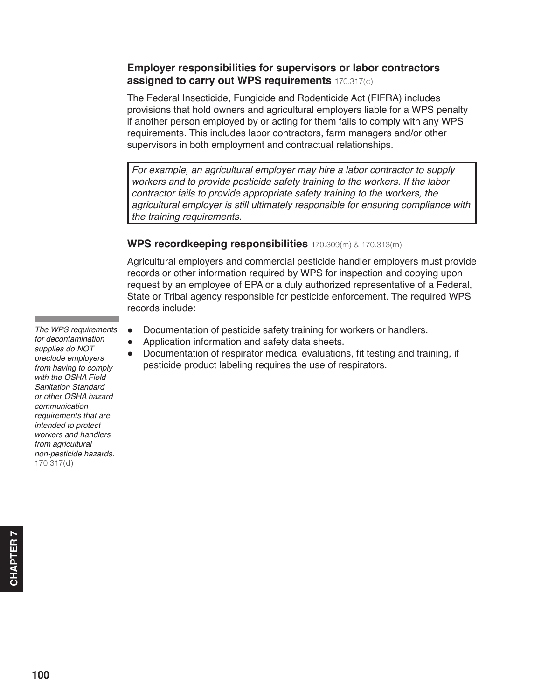### <span id="page-3-0"></span>**Employer responsibilities for supervisors or labor contractors assigned to carry out WPS requirements** 170.317(c)

The Federal Insecticide, Fungicide and Rodenticide Act (FIFRA) includes provisions that hold owners and agricultural employers liable for a WPS penalty if another person employed by or acting for them fails to comply with any WPS requirements. This includes labor contractors, farm managers and/or other supervisors in both employment and contractual relationships.

For example, an agricultural employer may hire a labor contractor to supply workers and to provide pesticide safety training to the workers. If the labor contractor fails to provide appropriate safety training to the workers, the agricultural employer is still ultimately responsible for ensuring compliance with the training requirements.

### **WPS recordkeeping responsibilities** 170.309(m) & 170.313(m)

Agricultural employers and commercial pesticide handler employers must provide records or other information required by WPS for inspection and copying upon request by an employee of EPA or a duly authorized representative of a Federal, State or Tribal agency responsible for pesticide enforcement. The required WPS records include:

- Documentation of pesticide safety training for workers or handlers.
- Application information and safety data sheets.
- Documentation of respirator medical evaluations, fit testing and training, if pesticide product labeling requires the use of respirators.

*The WPS requirements*  for decontamination *supplies do NOT*  preclude employers from having to comply *with the OSHA Field Sanitation Standard or other OSHA hazard*  communication *requirements that are*  intended to protect *workers and handlers*  from agricultural non-pesticide hazards. 170.317(d)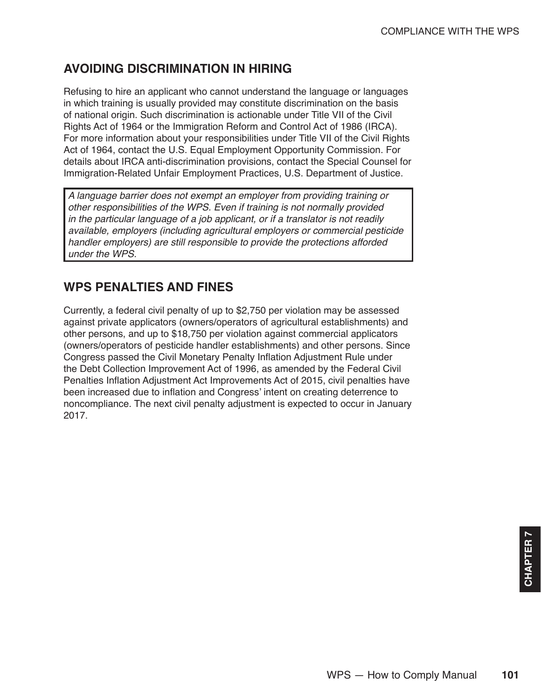# <span id="page-4-0"></span>**AVOIDING DISCRIMINATION IN HIRING**

Refusing to hire an applicant who cannot understand the language or languages in which training is usually provided may constitute discrimination on the basis of national origin. Such discrimination is actionable under Title VII of the Civil Rights Act of 1964 or the Immigration Reform and Control Act of 1986 (IRCA). For more information about your responsibilities under Title VII of the Civil Rights Act of 1964, contact the U.S. Equal Employment Opportunity Commission. For details about IRCA anti-discrimination provisions, contact the Special Counsel for Immigration-Related Unfair Employment Practices, U.S. Department of Justice.

A language barrier does not exempt an employer from providing training or other responsibilities of the WPS. Even if training is not normally provided in the particular language of a job applicant, or if a translator is not readily available, employers (including agricultural employers or commercial pesticide handler employers) are still responsible to provide the protections afforded *under the WPS.*

# **WPS PENALTIES AND FINES**

Currently, a federal civil penalty of up to \$2,750 per violation may be assessed against private applicators (owners/operators of agricultural establishments) and other persons, and up to \$18,750 per violation against commercial applicators (owners/operators of pesticide handler establishments) and other persons. Since Congress passed the Civil Monetary Penalty Inflation Adjustment Rule under the Debt Collection Improvement Act of 1996, as amended by the Federal Civil Penalties Inflation Adjustment Act Improvements Act of 2015, civil penalties have been increased due to inflation and Congress' intent on creating deterrence to noncompliance. The next civil penalty adjustment is expected to occur in January 2017.